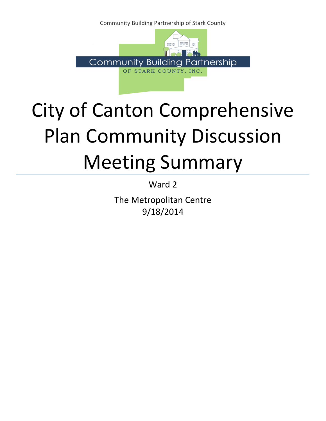Community Building Partnership of Stark County



# City of Canton Comprehensive Plan Community Discussion Meeting Summary

Ward 2

The Metropolitan Centre 9/18/2014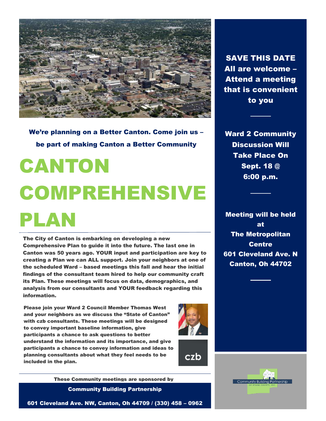

We're planning on a Better Canton. Come join us – be part of making Canton a Better Community

# CANTON COMPREHENSIVE PLAN

The City of Canton is embarking on developing a new Comprehensive Plan to guide it into the future. The last one in Canton was 50 years ago. YOUR input and participation are key to creating a Plan we can ALL support. Join your neighbors at one of the scheduled Ward – based meetings this fall and hear the initial findings of the consultant team hired to help our community craft its Plan. These meetings will focus on data, demographics, and analysis from our consultants and YOUR feedback regarding this information.

Please join your Ward 2 Council Member Thomas West and your neighbors as we discuss the "State of Canton" with czb consultants. These meetings will be designed to convey important baseline information, give participants a chance to ask questions to better understand the information and its importance, and give participants a chance to convey information and ideas to planning consultants about what they feel needs to be included in the plan.





These Community meetings are sponsored by

Community Building Partnership

SAVE THIS DATE All are welcome – Attend a meeting that is convenient to you

Ward 2 Community Discussion Will Take Place On Sept. 18 @ 6:00 p.m.

Meeting will be held at The Metropolitan **Centre** 601 Cleveland Ave. N Canton, Oh 44702



601 Cleveland Ave. NW, Canton, Oh 44709 / (330) 458 – 0962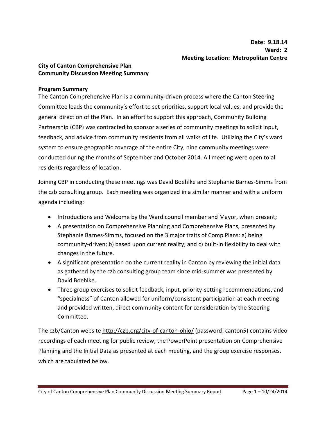# **City of Canton Comprehensive Plan Community Discussion Meeting Summary**

#### **Program Summary**

The Canton Comprehensive Plan is a community-driven process where the Canton Steering Committee leads the community's effort to set priorities, support local values, and provide the general direction of the Plan. In an effort to support this approach, Community Building Partnership (CBP) was contracted to sponsor a series of community meetings to solicit input, feedback, and advice from community residents from all walks of life. Utilizing the City's ward system to ensure geographic coverage of the entire City, nine community meetings were conducted during the months of September and October 2014. All meeting were open to all residents regardless of location.

Joining CBP in conducting these meetings was David Boehlke and Stephanie Barnes-Simms from the czb consulting group. Each meeting was organized in a similar manner and with a uniform agenda including:

- Introductions and Welcome by the Ward council member and Mayor, when present;
- A presentation on Comprehensive Planning and Comprehensive Plans, presented by Stephanie Barnes-Simms, focused on the 3 major traits of Comp Plans: a) being community-driven; b) based upon current reality; and c) built-in flexibility to deal with changes in the future.
- A significant presentation on the current reality in Canton by reviewing the initial data as gathered by the czb consulting group team since mid-summer was presented by David Boehlke.
- Three group exercises to solicit feedback, input, priority-setting recommendations, and "specialness" of Canton allowed for uniform/consistent participation at each meeting and provided written, direct community content for consideration by the Steering Committee.

The czb/Canton website http://czb.org/city-of-canton-ohio/ (password: canton5) contains video recordings of each meeting for public review, the PowerPoint presentation on Comprehensive Planning and the Initial Data as presented at each meeting, and the group exercise responses, which are tabulated below.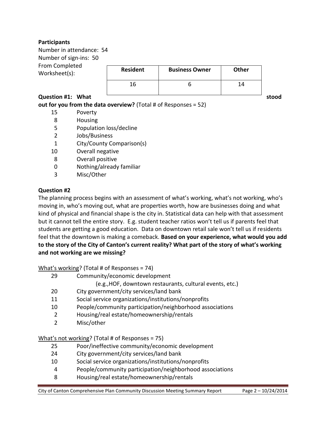# **Participants**

Number in attendance: 54 Number of sign-ins: 50 From Completed Worksheet(s):

| <b>Resident</b> | <b>Business Owner</b> | Other |
|-----------------|-----------------------|-------|
|                 |                       |       |

#### **Question #1:** What states and **interest and the stood stood** stood

**out for you from the data overview?** (Total # of Responses = 52)

- 15 Poverty
- 8 Housing
- 5 Population loss/decline
- 2 Jobs/Business
- 1 City/County Comparison(s)
- 10 Overall negative
- 8 Overall positive
- 0 Nothing/already familiar
- 3 Misc/Other

#### **Question #2**

The planning process begins with an assessment of what's working, what's not working, who's moving in, who's moving out, what are properties worth, how are businesses doing and what kind of physical and financial shape is the city in. Statistical data can help with that assessment but it cannot tell the entire story. E.g. student teacher ratios won't tell us if parents feel that students are getting a good education. Data on downtown retail sale won't tell us if residents feel that the downtown is making a comeback. **Based on your experience, what would you add to the story of the City of Canton's current reality? What part of the story of what's working and not working are we missing?** 

What's working? (Total # of Responses = 74)

- 29 Community/economic development
	- (e.g.,HOF, downtown restaurants, cultural events, etc.)
- 20 City government/city services/land bank
- 11 Social service organizations/institutions/nonprofits
- 10 People/community participation/neighborhood associations
- 2 Housing/real estate/homeownership/rentals
- 2 Misc/other

# What's not working? (Total # of Responses = 75)

- 25 Poor/ineffective community/economic development
- 24 City government/city services/land bank
- 10 Social service organizations/institutions/nonprofits
- 4 People/community participation/neighborhood associations
- 8 Housing/real estate/homeownership/rentals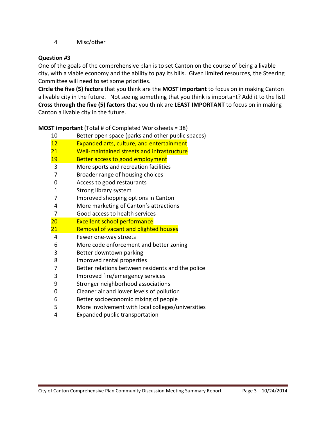# Misc/other

## **Question #3**

One of the goals of the comprehensive plan is to set Canton on the course of being a livable city, with a viable economy and the ability to pay its bills. Given limited resources, the Steering Committee will need to set some priorities.

**Circle the five (5) factors** that you think are the **MOST important** to focus on in making Canton a livable city in the future. Not seeing something that you think is important? Add it to the list! **Cross through the five (5) factors** that you think are **LEAST IMPORTANT** to focus on in making Canton a livable city in the future.

**MOST important** (Total # of Completed Worksheets = 38)

| 10 | Better open space (parks and other public spaces) |  |  |
|----|---------------------------------------------------|--|--|
|    |                                                   |  |  |

- Expanded arts, culture, and entertainment
- Well-maintained streets and infrastructure
- 19 Better access to good employment
- More sports and recreation facilities
- Broader range of housing choices
- Access to good restaurants
- Strong library system
- Improved shopping options in Canton
- More marketing of Canton's attractions
- Good access to health services
- Excellent school performance
- 21 Removal of vacant and blighted houses
- Fewer one-way streets
- More code enforcement and better zoning
- Better downtown parking
- Improved rental properties
- Better relations between residents and the police
- Improved fire/emergency services
- Stronger neighborhood associations
- Cleaner air and lower levels of pollution
- Better socioeconomic mixing of people
- More involvement with local colleges/universities
- Expanded public transportation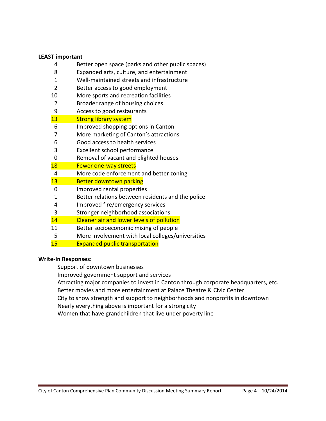#### **LEAST important**

- 4 Better open space (parks and other public spaces)
- 8 Expanded arts, culture, and entertainment
- 1 Well-maintained streets and infrastructure
- 2 Better access to good employment
- 10 More sports and recreation facilities
- 2 Broader range of housing choices
- 9 Access to good restaurants

#### 13 Strong library system

- 6 Improved shopping options in Canton
- 7 More marketing of Canton's attractions
- 6 Good access to health services
- 3 Excellent school performance
- 0 Removal of vacant and blighted houses
- 18 Fewer one-way streets
- 4 More code enforcement and better zoning
- 13 Better downtown parking
- 0 Improved rental properties
- 1 Better relations between residents and the police
- 4 Improved fire/emergency services
- 3 Stronger neighborhood associations
- 14 Cleaner air and lower levels of pollution
- 11 Better socioeconomic mixing of people
- 5 More involvement with local colleges/universities
- 15 Expanded public transportation

#### **Write-In Responses:**

- Support of downtown businesses
- Improved government support and services
- Attracting major companies to invest in Canton through corporate headquarters, etc.
- Better movies and more entertainment at Palace Theatre & Civic Center
- City to show strength and support to neighborhoods and nonprofits in downtown
- Nearly everything above is important for a strong city
- Women that have grandchildren that live under poverty line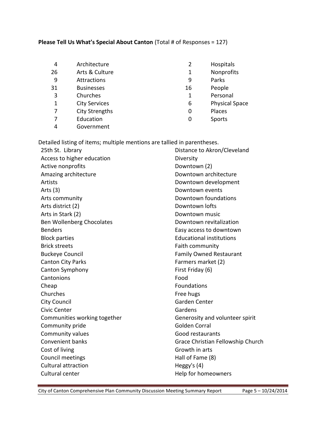# **Please Tell Us What's Special About Canton** (Total # of Responses = 127)

| 4  | Architecture          | 2  | Hospitals             |
|----|-----------------------|----|-----------------------|
| 26 | Arts & Culture        | 1  | Nonprofits            |
| 9  | Attractions           | 9  | Parks                 |
| 31 | <b>Businesses</b>     | 16 | People                |
| 3  | Churches              | 1  | Personal              |
| 1  | <b>City Services</b>  | 6  | <b>Physical Space</b> |
| 7  | <b>City Strengths</b> | 0  | Places                |
|    | Education             | 0  | Sports                |
|    | Government            |    |                       |

Detailed listing of items; multiple mentions are tallied in parentheses.

| 25th St. Library             | Distance to Akron/Cleveland       |
|------------------------------|-----------------------------------|
| Access to higher education   | Diversity                         |
| Active nonprofits            | Downtown (2)                      |
| Amazing architecture         | Downtown architecture             |
| Artists                      | Downtown development              |
| Arts $(3)$                   | Downtown events                   |
| Arts community               | Downtown foundations              |
| Arts district (2)            | Downtown lofts                    |
| Arts in Stark (2)            | Downtown music                    |
| Ben Wollenberg Chocolates    | Downtown revitalization           |
| <b>Benders</b>               | Easy access to downtown           |
| <b>Block parties</b>         | <b>Educational institutions</b>   |
| <b>Brick streets</b>         | Faith community                   |
| <b>Buckeye Council</b>       | <b>Family Owned Restaurant</b>    |
| <b>Canton City Parks</b>     | Farmers market (2)                |
| Canton Symphony              | First Friday (6)                  |
| Cantonions                   | Food                              |
| Cheap                        | Foundations                       |
| Churches                     | Free hugs                         |
| <b>City Council</b>          | Garden Center                     |
| Civic Center                 | Gardens                           |
| Communities working together | Generosity and volunteer spirit   |
| Community pride              | <b>Golden Corral</b>              |
| Community values             | Good restaurants                  |
| <b>Convenient banks</b>      | Grace Christian Fellowship Church |
| Cost of living               | Growth in arts                    |
| Council meetings             | Hall of Fame (8)                  |
| <b>Cultural attraction</b>   | Heggy's (4)                       |
| Cultural center              | Help for homeowners               |
|                              |                                   |